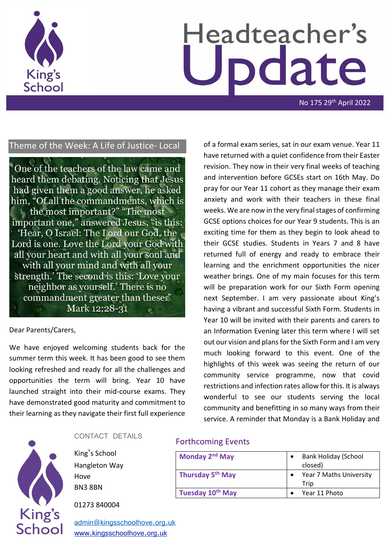

# Headteacher's odate

No 175 29th April 2022

#### Theme of the Week: A Life of Justice- Local

One of the teachers of the law came and heard them debating. Noticing that Jesus had given them a good answer, he asked him, "Of all the commandments, which is the most important?" "The most important one," answered Jesus, "is this: 'Hear, O Israel: The Lord our God, the Lord is one. Love the Lord your God with all your heart and with all your soul and with all your mind and with all your strength.' The second is this: 'Love your neighbor as yourself.' There is no commandment greater than these." Mark 12:28-31

#### Dear Parents/Carers,

We have enjoyed welcoming students back for the summer term this week. It has been good to see them looking refreshed and ready for all the challenges and opportunities the term will bring. Year 10 have launched straight into their mid-course exams. They have demonstrated good maturity and commitment to their learning as they navigate their first full experience of a formal exam series, sat in our exam venue. Year 11 have returned with a quiet confidence from their Easter revision. They now in their very final weeks of teaching and intervention before GCSEs start on 16th May. Do pray for our Year 11 cohort as they manage their exam anxiety and work with their teachers in these final weeks. We are now in the very final stages of confirming GCSE options choices for our Year 9 students. This is an exciting time for them as they begin to look ahead to their GCSE studies. Students in Years 7 and 8 have returned full of energy and ready to embrace their learning and the enrichment opportunities the nicer weather brings. One of my main focuses for this term will be preparation work for our Sixth Form opening next September. I am very passionate about King's having a vibrant and successful Sixth Form. Students in Year 10 will be invited with their parents and carers to an Information Evening later this term where I will set out our vision and plans for the Sixth Form and I am very much looking forward to this event. One of the highlights of this week was seeing the return of our community service programme, now that covid restrictions and infection rates allow for this. It is always wonderful to see our students serving the local community and benefitting in so many ways from their service. A reminder that Monday is a Bank Holiday and



#### CONTACT DETAILS

King's School Hangleton Way Hove BN3 8BN

01273 840004

[admin@kingsschoolhove.org.uk](mailto:admin@kingsschoolhove.org.uk) [www.kingsschoolhove.org.uk](http://www.kingsschoolhove.org.uk/)

#### Forthcoming Events

| Monday 2 <sup>nd</sup> May   | <b>Bank Holiday (School</b><br>closed) |
|------------------------------|----------------------------------------|
| Thursday 5 <sup>th</sup> May | Year 7 Maths University<br>Trip        |
| Tuesday 10 <sup>th</sup> May | Year 11 Photo                          |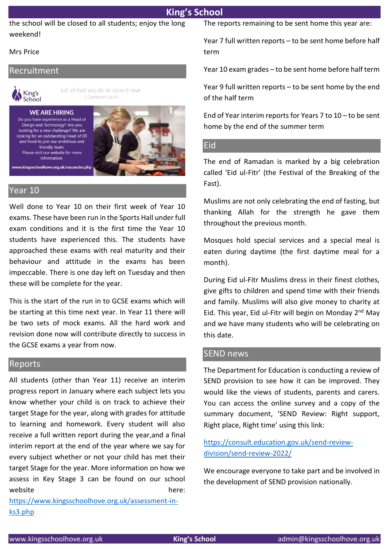the school will be closed to all students; enjoy the long weekend!

#### Mrs Price

#### Recruitment



Let all that you do be done in love 1 Corinthians 16:14

#### **WE ARE HIRING** Do you have experience as a Head of Design and Technology? Are you looking for a new challenge? We are looking for an outstanding Head of DT and Food to join our ambitious and friendly team. Please visit our website for more information.



Year 10

Well done to Year 10 on their first week of Year 10 exams. These have been run in the Sports Hall under full exam conditions and it is the first time the Year 10 students have experienced this. The students have approached these exams with real maturity and their behaviour and attitude in the exams has been impeccable. There is one day left on Tuesday and then these will be complete for the year.

This is the start of the run in to GCSE exams which will be starting at this time next year. In Year 11 there will be two sets of mock exams. All the hard work and revision done now will contribute directly to success in the GCSE exams a year from now.

#### Reports

All students (other than Year 11) receive an interim progress report in January where each subject lets you know whether your child is on track to achieve their target Stage for the year, along with grades for attitude to learning and homework. Every student will also receive a full written report during the year,and a final interim report at the end of the year where we say for every subject whether or not your child has met their target Stage for the year. More information on how we assess in Key Stage 3 can be found on our school website here:

[https://www.kingsschoolhove.org.uk/assessment-in](https://www.kingsschoolhove.org.uk/assessment-in-ks3.php)[ks3.php](https://www.kingsschoolhove.org.uk/assessment-in-ks3.php) 

The reports remaining to be sent home this year are:

Year 7 full written reports – to be sent home before half term

Year 10 exam grades – to be sent home before half term

Year 9 full written reports – to be sent home by the end of the half term

End of Year interim reports for Years 7 to 10 – to be sent home by the end of the summer term

#### Eid

The end of Ramadan is marked by a big celebration called 'Eid ul-Fitr' (the Festival of the Breaking of the Fast).

Muslims are not only celebrating the end of fasting, but thanking Allah for the strength he gave them throughout the previous month.

Mosques hold special services and a special meal is eaten during daytime (the first daytime meal for a month).

During Eid ul-Fitr Muslims dress in their finest clothes, give gifts to children and spend time with their friends and family. Muslims will also give money to charity at Eid. This year, Eid ul-Fitr will begin on Monday 2nd May and we have many students who will be celebrating on this date.

#### SEND news

The Department for Education is conducting a review of SEND provision to see how it can be improved. They would like the views of students, parents and carers. You can access the online survey and a copy of the summary document, 'SEND Review: Right support, Right place, Right time' using this link:

[https://consult.education.gov.uk/send-review](https://consult.education.gov.uk/send-review-division/send-review-2022/)[division/send-review-2022/](https://consult.education.gov.uk/send-review-division/send-review-2022/)

We encourage everyone to take part and be involved in the development of SEND provision nationally.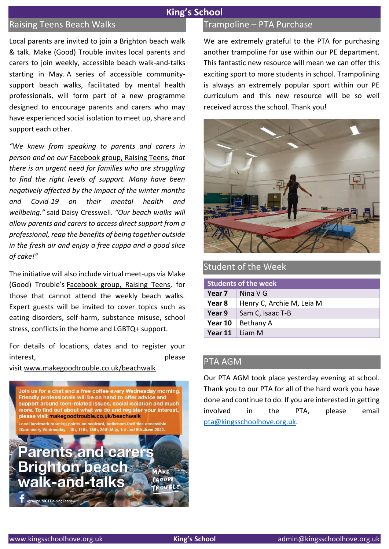#### Raising Teens Beach Walks

Local parents are invited to join a Brighton beach walk & talk. Make (Good) Trouble invites local parents and carers to join weekly, accessible beach walk-and-talks starting in May. A series of accessible communitysupport beach walks, facilitated by mental health professionals, will form part of a new programme designed to encourage parents and carers who may have experienced social isolation to meet up, share and support each other.

*"We knew from speaking to parents and carers in person and on our* [Facebook group, Raising Teens](https://www.facebook.com/groups/2648023175433512)*, that there is an urgent need for families who are struggling to find the right levels of support. Many have been negatively affected by the impact of the winter months and Covid-19 on their mental health and wellbeing."* said Daisy Cresswell. *"Our beach walks will allow parents and carers to access direct support from a professional, reap the benefits of being together outside in the fresh air and enjoy a free cuppa and a good slice of cake!"* 

The initiative will also include virtual meet-ups via Make (Good) Trouble's [Facebook group, Raising Teens,](https://www.facebook.com/groups/2648023175433512) for those that cannot attend the weekly beach walks. Expert guests will be invited to cover topics such as eating disorders, self-harm, substance misuse, school stress, conflicts in the home and LGBTQ+ support.

For details of locations, dates and to register your interest, and the contract of the please please

visit [www.makegoodtrouble.co.uk/beachwalk](http://www.makegoodtrouble.co.uk/beachwalk)



#### Trampoline – PTA Purchase

We are extremely grateful to the PTA for purchasing another trampoline for use within our PE department. This fantastic new resource will mean we can offer this exciting sport to more students in school. Trampolining is always an extremely popular sport within our PE curriculum and this new resource will be so well received across the school. Thank you!



#### Student of the Week

| <b>Students of the week</b> |                           |
|-----------------------------|---------------------------|
| Year 7                      | Nina V G                  |
| Year 8                      | Henry C, Archie M, Leia M |
| Year 9                      | Sam C, Isaac T-B          |
| Year 10                     | Bethany A                 |
| <b>Year 11</b> Liam M       |                           |

#### PTA AGM

Our PTA AGM took place yesterday evening at school. Thank you to our PTA for all of the hard work you have done and continue to do. If you are interested in getting involved in the PTA, please email [pta@kingsschoolhove.org.uk.](mailto:pta@kingsschoolhove.org.uk)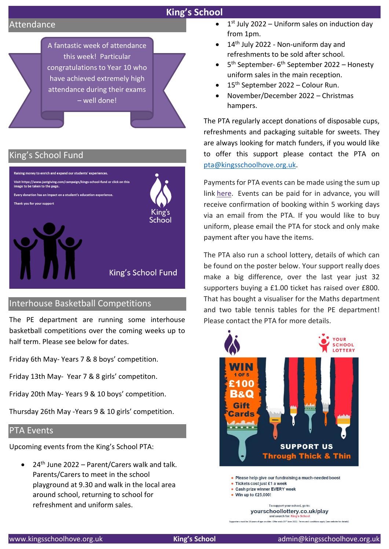#### Attendance



#### King's School Fund



#### Interhouse Basketball Competitions

The PE department are running some interhouse basketball competitions over the coming weeks up to half term. Please see below for dates.

Friday 6th May- Years 7 & 8 boys' competition.

Friday 13th May- Year 7 & 8 girls' competiton.

Friday 20th May- Years 9 & 10 boys' competition.

Thursday 26th May -Years 9 & 10 girls' competition.

#### PTA Events

Upcoming events from the King's School PTA:

• 24<sup>th</sup> June 2022 – Parent/Carers walk and talk. Parents/Carers to meet in the school playground at 9.30 and walk in the local area around school, returning to school for refreshment and uniform sales.

- $\bullet$  1<sup>st</sup> July 2022 Uniform sales on induction day from 1pm.
- 14<sup>th</sup> July 2022 Non-uniform day and refreshments to be sold after school.
- $\bullet$ <sup>th</sup> September- 6<sup>th</sup> September 2022 – Honesty uniform sales in the main reception.
- $\bullet$  15<sup>th</sup> September 2022 Colour Run.
- November/December 2022 Christmas hampers.

The PTA regularly accept donations of disposable cups, refreshments and packaging suitable for sweets. They are always looking for match funders, if you would like to offer this support please contact the PTA on [pta@kingsschoolhove.org.uk.](mailto:pta@kingsschoolhove.org.uk)

Payments for PTA events can be made using the sum up link [here.](https://kings-school-pta.sumup.link/) Events can be paid for in advance, you will receive confirmation of booking within 5 working days via an email from the PTA. If you would like to buy uniform, please email the PTA for stock and only make payment after you have the items.

The PTA also run a school lottery, details of which can be found on the poster below. Your support really does make a big difference, over the last year just 32 supporters buying a £1.00 ticket has raised over £800. That has bought a visualiser for the Maths department and two table tennis tables for the PE department! Please contact the PTA for more details.



- 
- Win up to £25,000!

To support your school, go to: yourschoollottery.co.uk/play

s must be 16 years of age or older. Offer ends 25th June 2022. Terms and co